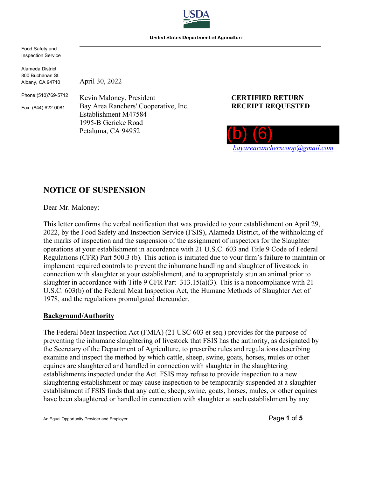

United States Department of Agriculture

Food Safety and Inspection Service

Alameda District 800 Buchanan St. Albany, CA 94710

April 30, 2022

Phone:(510)769-5712

Fax: (844) 622-0081

Kevin Maloney, President **CERTIFIED RETURN** Bay Area Ranchers' Cooperative, Inc. **RECEIPT REQUESTED** Establishment M47584 1995-B Gericke Road Petaluma, CA 94952



# **NOTICE OF SUSPENSION**

Dear Mr. Maloney:

This letter confirms the verbal notification that was provided to your establishment on April 29, 2022, by the Food Safety and Inspection Service (FSIS), Alameda District, of the withholding of the marks of inspection and the suspension of the assignment of inspectors for the Slaughter operations at your establishment in accordance with 21 U.S.C. 603 and Title 9 Code of Federal Regulations (CFR) Part 500.3 (b). This action is initiated due to your firm's failure to maintain or implement required controls to prevent the inhumane handling and slaughter of livestock in connection with slaughter at your establishment, and to appropriately stun an animal prior to slaughter in accordance with Title 9 CFR Part 313.15(a)(3). This is a noncompliance with 21 U.S.C. 603(b) of the Federal Meat Inspection Act, the Humane Methods of Slaughter Act of 1978, and the regulations promulgated thereunder.

### **Background/Authority**

The Federal Meat Inspection Act (FMIA) (21 USC 603 et seq.) provides for the purpose of preventing the inhumane slaughtering of livestock that FSIS has the authority, as designated by the Secretary of the Department of Agriculture, to prescribe rules and regulations describing examine and inspect the method by which cattle, sheep, swine, goats, horses, mules or other equines are slaughtered and handled in connection with slaughter in the slaughtering establishments inspected under the Act. FSIS may refuse to provide inspection to a new slaughtering establishment or may cause inspection to be temporarily suspended at a slaughter establishment if FSIS finds that any cattle, sheep, swine, goats, horses, mules, or other equines have been slaughtered or handled in connection with slaughter at such establishment by any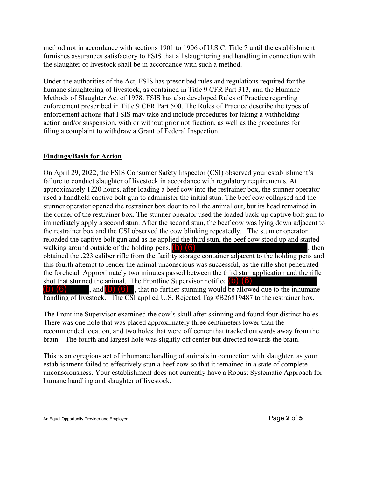method not in accordance with sections 1901 to 1906 of U.S.C. Title 7 until the establishment furnishes assurances satisfactory to FSIS that all slaughtering and handling in connection with the slaughter of livestock shall be in accordance with such a method.

Under the authorities of the Act, FSIS has prescribed rules and regulations required for the humane slaughtering of livestock, as contained in Title 9 CFR Part 313, and the Humane Methods of Slaughter Act of 1978. FSIS has also developed Rules of Practice regarding enforcement prescribed in Title 9 CFR Part 500. The Rules of Practice describe the types of enforcement actions that FSIS may take and include procedures for taking a withholding action and/or suspension, with or without prior notification, as well as the procedures for filing a complaint to withdraw a Grant of Federal Inspection.

# **Findings/Basis for Action**

On April 29, 2022, the FSIS Consumer Safety Inspector (CSI) observed your establishment's failure to conduct slaughter of livestock in accordance with regulatory requirements. At approximately 1220 hours, after loading a beef cow into the restrainer box, the stunner operator used a handheld captive bolt gun to administer the initial stun. The beef cow collapsed and the stunner operator opened the restrainer box door to roll the animal out, but its head remained in the corner of the restrainer box. The stunner operator used the loaded back-up captive bolt gun to immediately apply a second stun. After the second stun, the beef cow was lying down adjacent to the restrainer box and the CSI observed the cow blinking repeatedly. The stunner operator reloaded the captive bolt gun and as he applied the third stun, the beef cow stood up and started walking around outside of the holding pens.  $(b)$   $(6)$ obtained the .223 caliber rifle from the facility storage container adjacent to the holding pens and this fourth attempt to render the animal unconscious was successful, as the rifle shot penetrated the forehead. Approximately two minutes passed between the third stun application and the rifle shot that stunned the animal. The Frontline Supervisor notified  $\begin{pmatrix} 1 \\ 0 \end{pmatrix}$  (6)  $\begin{pmatrix} 6 \\ 0 \end{pmatrix}$ , and  $\begin{pmatrix} 0 \\ 0 \end{pmatrix}$  (6) that no further stunning would be allow , and  $\begin{pmatrix} 0 \\ 0 \end{pmatrix}$  , that no further stunning would be allowed due to the inhumane handling of livestock. The CSI applied U.S. Rejected Tag #B26819487 to the restrainer box.

The Frontline Supervisor examined the cow's skull after skinning and found four distinct holes. There was one hole that was placed approximately three centimeters lower than the recommended location, and two holes that were off center that tracked outwards away from the brain. The fourth and largest hole was slightly off center but directed towards the brain.

This is an egregious act of inhumane handling of animals in connection with slaughter, as your establishment failed to effectively stun a beef cow so that it remained in a state of complete unconsciousness. Your establishment does not currently have a Robust Systematic Approach for humane handling and slaughter of livestock.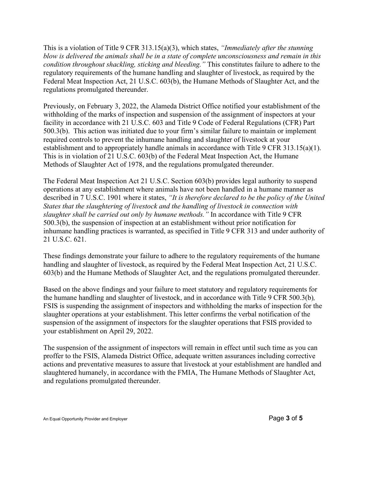This is a violation of Title 9 CFR 313.15(a)(3), which states, *"Immediately after the stunning blow is delivered the animals shall be in a state of complete unconsciousness and remain in this condition throughout shackling, sticking and bleeding."* This constitutes failure to adhere to the regulatory requirements of the humane handling and slaughter of livestock, as required by the Federal Meat Inspection Act, 21 U.S.C. 603(b), the Humane Methods of Slaughter Act, and the regulations promulgated thereunder.

Previously, on February 3, 2022, the Alameda District Office notified your establishment of the withholding of the marks of inspection and suspension of the assignment of inspectors at your facility in accordance with 21 U.S.C. 603 and Title 9 Code of Federal Regulations (CFR) Part 500.3(b). This action was initiated due to your firm's similar failure to maintain or implement required controls to prevent the inhumane handling and slaughter of livestock at your establishment and to appropriately handle animals in accordance with Title 9 CFR 313.15(a)(1). This is in violation of 21 U.S.C. 603(b) of the Federal Meat Inspection Act, the Humane Methods of Slaughter Act of 1978, and the regulations promulgated thereunder.

The Federal Meat Inspection Act 21 U.S.C. Section 603(b) provides legal authority to suspend operations at any establishment where animals have not been handled in a humane manner as described in 7 U.S.C. 1901 where it states, *"It is therefore declared to be the policy of the United States that the slaughtering of livestock and the handling of livestock in connection with slaughter shall be carried out only by humane methods."* In accordance with Title 9 CFR 500.3(b), the suspension of inspection at an establishment without prior notification for inhumane handling practices is warranted, as specified in Title 9 CFR 313 and under authority of 21 U.S.C. 621.

These findings demonstrate your failure to adhere to the regulatory requirements of the humane handling and slaughter of livestock, as required by the Federal Meat Inspection Act, 21 U.S.C. 603(b) and the Humane Methods of Slaughter Act, and the regulations promulgated thereunder.

Based on the above findings and your failure to meet statutory and regulatory requirements for the humane handling and slaughter of livestock, and in accordance with Title 9 CFR 500.3(b)*,*  FSIS is suspending the assignment of inspectors and withholding the marks of inspection for the slaughter operations at your establishment. This letter confirms the verbal notification of the suspension of the assignment of inspectors for the slaughter operations that FSIS provided to your establishment on April 29, 2022.

The suspension of the assignment of inspectors will remain in effect until such time as you can proffer to the FSIS, Alameda District Office, adequate written assurances including corrective actions and preventative measures to assure that livestock at your establishment are handled and slaughtered humanely, in accordance with the FMIA, The Humane Methods of Slaughter Act, and regulations promulgated thereunder.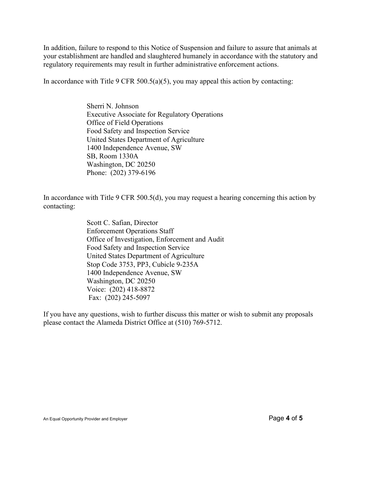In addition, failure to respond to this Notice of Suspension and failure to assure that animals at your establishment are handled and slaughtered humanely in accordance with the statutory and regulatory requirements may result in further administrative enforcement actions.

In accordance with Title 9 CFR 500.5(a)(5), you may appeal this action by contacting:

Sherri N. Johnson Executive Associate for Regulatory Operations Office of Field Operations Food Safety and Inspection Service United States Department of Agriculture 1400 Independence Avenue, SW SB, Room 1330A Washington, DC 20250 Phone: (202) 379-6196

In accordance with Title 9 CFR 500.5(d), you may request a hearing concerning this action by contacting:

> Scott C. Safian, Director Enforcement Operations Staff Office of Investigation, Enforcement and Audit Food Safety and Inspection Service United States Department of Agriculture Stop Code 3753, PP3, Cubicle 9-235A 1400 Independence Avenue, SW Washington, DC 20250 Voice: (202) 418-8872 Fax: (202) 245-5097

If you have any questions, wish to further discuss this matter or wish to submit any proposals please contact the Alameda District Office at (510) 769-5712.